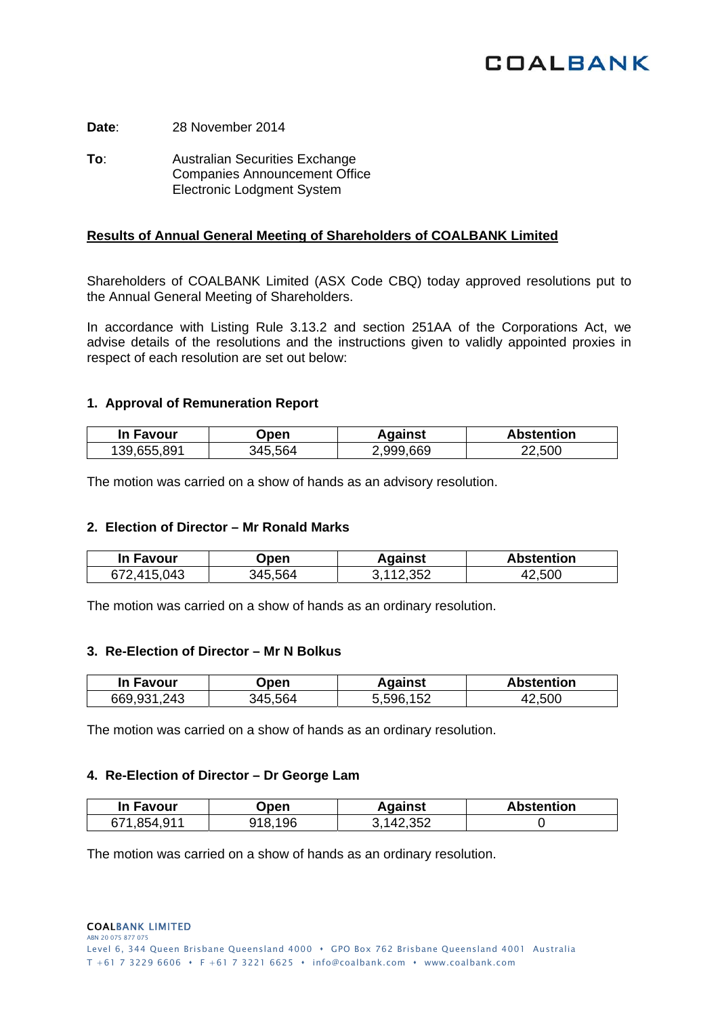# **COALBANK**

**Date**: 28 November 2014

**To:** Australian Securities Exchange Companies Announcement Office Electronic Lodgment System

## **Results of Annual General Meeting of Shareholders of COALBANK Limited**

Shareholders of COALBANK Limited (ASX Code CBQ) today approved resolutions put to the Annual General Meeting of Shareholders.

In accordance with Listing Rule 3.13.2 and section 251AA of the Corporations Act, we advise details of the resolutions and the instructions given to validly appointed proxies in respect of each resolution are set out below:

## **1. Approval of Remuneration Report**

| In Favour   | Open    | Against   | <b>Abstention</b> |
|-------------|---------|-----------|-------------------|
| 139.655.891 | 345.564 | 2.999.669 | 22,500            |

The motion was carried on a show of hands as an advisory resolution.

## **2. Election of Director – Mr Ronald Marks**

| In Favour   | )pen    | Aqainst | <b>Abstention</b> |
|-------------|---------|---------|-------------------|
| 672,415,043 | 845 564 | 112352  | .500              |

The motion was carried on a show of hands as an ordinary resolution.

#### **3. Re-Election of Director – Mr N Bolkus**

| <b>In Favour</b> | )pen    | Aqainst      | <b>Abstention</b> |
|------------------|---------|--------------|-------------------|
| .243<br>669,931  | 845 564 | .152<br>5596 | 500               |

The motion was carried on a show of hands as an ordinary resolution.

## **4. Re-Election of Director – Dr George Lam**

| In Favour                   | <b>Jpen</b>  | Aɑainst      | <b>Abstention</b> |
|-----------------------------|--------------|--------------|-------------------|
| $\Omega$ 11<br>671<br>- 854 | .196<br>ጋ1 Q | ノ マドン<br>.14 |                   |

The motion was carried on a show of hands as an ordinary resolution.